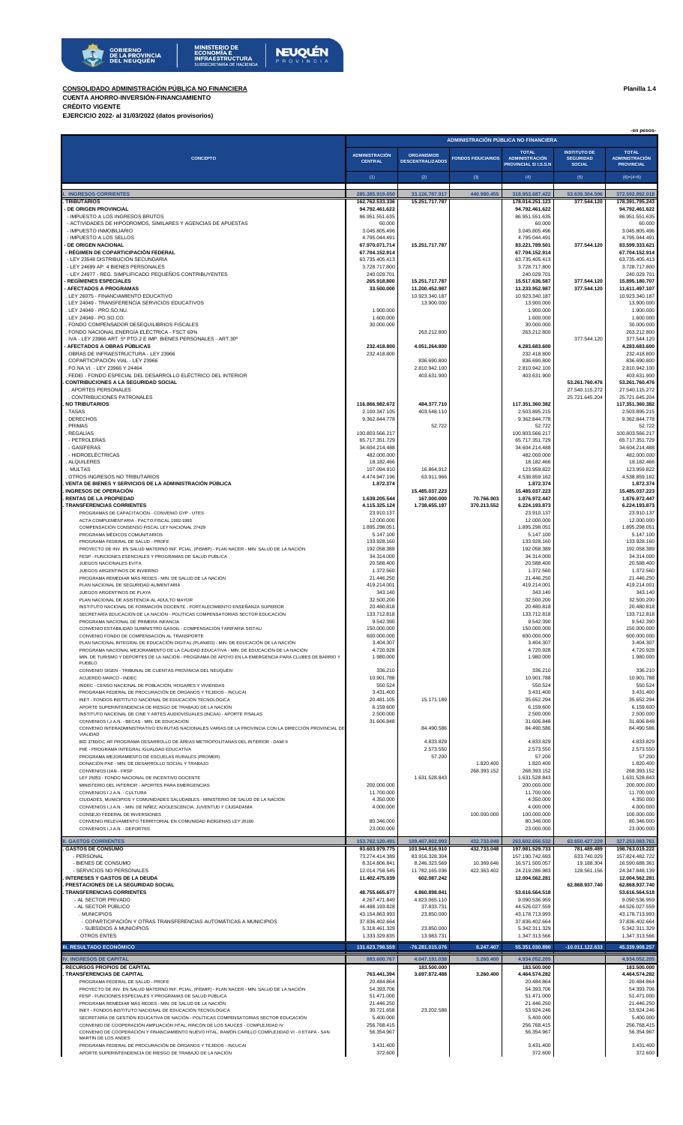

## **CONSOLIDADO ADMINISTRACIÓN PÚBLICA NO FINANCIERA Planilla 1.4 CUENTA AHORRO-INVERSIÓN-FINANCIAMIENTO**

**CRÉDITO VIGENTE EJERCICIO 2022- al 31/03/2022 (datos provisorios)**

 **-en pesos-**

| CONCEPTO                                                                                                                                                                          |                                   |                                    |                            |                                               |                                   |                                            |
|-----------------------------------------------------------------------------------------------------------------------------------------------------------------------------------|-----------------------------------|------------------------------------|----------------------------|-----------------------------------------------|-----------------------------------|--------------------------------------------|
|                                                                                                                                                                                   | <b>ADMINISTRACIÓN</b>             | <b>ORGANISMOS</b>                  |                            | <b>TOTAL</b>                                  | <b>INSTITUTO DE</b>               | <b>TOTAL</b>                               |
|                                                                                                                                                                                   | <b>CENTRAL</b>                    | <b>DESCENTRALIZADOS</b>            | <b>FONDOS FIDUCIARIOS</b>  | <b>ADMINISTRACIÓN</b><br>PROVINCIAL S/I.S.S.N | <b>SEGURIDAD</b><br><b>SOCIAL</b> | <b>ADMINISTRACIÓN</b><br><b>PROVINCIAL</b> |
|                                                                                                                                                                                   |                                   |                                    | (3)                        | (4)                                           |                                   |                                            |
|                                                                                                                                                                                   | (1)                               | (2)                                |                            |                                               | (5)                               | $(6)=(4+5)$                                |
| <b>INGRESOS CORRIENTES</b>                                                                                                                                                        | 285.385.919.050                   | 33.126.787.917                     | 440.980.455                | 318.953.687.422                               | 53.639.304.596                    | 372.592.992.018                            |
| <b>TRIBUTARIOS</b>                                                                                                                                                                | 162.762.533.336                   | 15.251.717.787                     |                            | 178.014.251.123                               | 377.544.120                       | 178.391.795.243                            |
| <b>DE ORIGEN PROVINCIAL</b><br>- IMPUESTO A LOS INGRESOS BRUTOS                                                                                                                   | 94.792.461.622<br>86.951.551.635  |                                    |                            | 94.792.461.622<br>86.951.551.635              |                                   | 94.792.461.622<br>86.951.551.635           |
| - ACTIVIDADES DE HIPÓDROMOS, SIMILARES Y AGENCIAS DE APUESTAS                                                                                                                     | 60.000                            |                                    |                            | 60.000                                        |                                   | 60.000                                     |
| - IMPUESTO INMOBILIARIO<br>- IMPUESTO A LOS SELLOS                                                                                                                                | 3.045.805.496<br>4.795.044.491    |                                    |                            | 3.045.805.496<br>4.795.044.491                |                                   | 3.045.805.496<br>4.795.044.491             |
| <b>DE ORIGEN NACIONAL</b>                                                                                                                                                         | 67.970.071.714                    | 15.251.717.787                     |                            | 83.221.789.501                                | 377.544.120                       | 83.599.333.621                             |
| - RÉGIMEN DE COPARTICIPACIÓN FEDERAL                                                                                                                                              | 67.704.152.914                    |                                    |                            | 67.704.152.914                                |                                   | 67.704.152.914                             |
| - LEY 23548 DISTRIBUCIÓN SECUNDARIA<br>- LEY 24699 AP. 4 BIENES PERSONALES                                                                                                        | 63.735.405.413<br>3.728.717.800   |                                    |                            | 63.735.405.413<br>3.728.717.800               |                                   | 63.735.405.413<br>3.728.717.800            |
| - LEY 24977 - REG. SIMPLIFICADO PEQUEÑOS CONTRIBUYENTES                                                                                                                           | 240.029.701                       |                                    |                            | 240.029.701                                   |                                   | 240.029.701                                |
| <b>REGÍMENES ESPECIALES</b>                                                                                                                                                       | 265.918.800                       | 15.251.717.787                     |                            | 15.517.636.587                                | 377.544.120                       | 15.895.180.707                             |
| <b>AFECTADOS A PROGRAMAS</b><br>. LEY 26075 - FINANCIAMIENTO EDUCATIVO                                                                                                            | 33.500.000                        | 11.200.452.987<br>10.923.340.187   |                            | 11.233.952.987<br>10.923.340.187              | 377.544.120                       | 11.611.497.107<br>10.923.340.187           |
| . LEY 24049 - TRANSFERENCIA SERVICIOS EDUCATIVOS                                                                                                                                  |                                   | 13.900.000                         |                            | 13.900.000                                    |                                   | 13.900.000                                 |
| . LEY 24049 - PRO.SO.NU.                                                                                                                                                          | 1.900.000                         |                                    |                            | 1.900.000                                     |                                   | 1.900.000                                  |
| . LEY 24049 - PO.SO.CO.<br>. FONDO COMPENSADOR DESEQUILIBRIOS FISCALES                                                                                                            | 1.600.000<br>30.000.000           |                                    |                            | 1.600.000<br>30.000.000                       |                                   | 1,600,000<br>30.000.000                    |
| . FONDO NACIONAL ENERGÍA ELÉCTRICA - FSCT 60%                                                                                                                                     |                                   | 263.212.800                        |                            | 263.212.800                                   |                                   | 263.212.800                                |
| . IVA - LEY 23966 ART. 5º PTO.2 E IMP. BIENES PERSONALES - ART.30°<br>· AFECTADOS A OBRAS PÚBLICAS                                                                                | 232.418.800                       | 4.051.264.800                      |                            | 4.283.683.600                                 | 377.544.120                       | 377.544.120<br>4.283.683.600               |
| . OBRAS DE INFRAESTRUCTURA - LEY 23966                                                                                                                                            | 232.418.800                       |                                    |                            | 232.418.800                                   |                                   | 232.418.800                                |
| COPARTICIPACIÓN VIAL - LEY 23966                                                                                                                                                  |                                   | 836.690.800                        |                            | 836.690.800                                   |                                   | 836.690.800                                |
| . FO.NA.VI. - LEY 23966 Y 24464<br>. FEDEI - FONDO ESPECIAL DEL DESARROLLO ELÉCTRICO DEL INTERIOR                                                                                 |                                   | 2.810.942.100<br>403.631.900       |                            | 2.810.942.100<br>403.631.900                  |                                   | 2.810.942.100<br>403.631.900               |
| <b>CONTRIBUCIONES A LA SEGURIDAD SOCIAL</b>                                                                                                                                       |                                   |                                    |                            |                                               | 53.261.760.476                    | 53.261.760.476                             |
| . APORTES PERSONALES                                                                                                                                                              |                                   |                                    |                            |                                               | 27.540.115.272                    | 27.540.115.272                             |
| . CONTRIBUCIONES PATRONALES<br><b>NO TRIBUTARIOS</b>                                                                                                                              | 116.866.982.672                   | 484 377 710                        |                            | 117.351.360.382                               | 25.721.645.204                    | 25.721.645.204<br>117.351.360.382          |
| . TASAS                                                                                                                                                                           | 2.100.347.105                     | 403.548.110                        |                            | 2.503.895.215                                 |                                   | 2.503.895.215                              |
| <b>DERECHOS</b><br>PRIMAS                                                                                                                                                         | 9.362.844.778                     | 52,722                             |                            | 9.362.844.778<br>52.722                       |                                   | 9.362.844.778<br>52.722                    |
| REGALÍAS                                                                                                                                                                          | 100.803.566.217                   |                                    |                            | 100.803.566.217                               |                                   | 100.803.566.217                            |
| - PETROLERAS                                                                                                                                                                      | 65.717.351.729                    |                                    |                            | 65.717.351.729                                |                                   | 65.717.351.729                             |
| - GASÍFERAS<br>- HIDROELÉCTRICAS                                                                                                                                                  | 34.604.214.488<br>482.000.000     |                                    |                            | 34.604.214.488<br>482.000.000                 |                                   | 34.604.214.488<br>482.000.000              |
| . ALQUILERES                                                                                                                                                                      | 18.182.466                        |                                    |                            | 18.182.466                                    |                                   | 18.182.466                                 |
| . MULTAS                                                                                                                                                                          | 107.094.910                       | 16.864.912                         |                            | 123.959.822                                   |                                   | 123.959.822                                |
| . OTROS INGRESOS NO TRIBUTARIOS<br>VENTA DE BIENES Y SERVICIOS DE LA ADMINISTRACIÓN PÚBLICA                                                                                       | 4.474.947.196<br>1.872.374        | 63.911.966                         |                            | 4.538.859.162<br>1.872.374                    |                                   | 4.538.859.162<br>1.872.374                 |
| <b>INGRESOS DE OPERACIÓN</b>                                                                                                                                                      |                                   | 15.485.037.223                     |                            | 15.485.037.223                                |                                   | 15.485.037.223                             |
| <b>RENTAS DE LA PROPIEDAD</b>                                                                                                                                                     | 1.639.205.544                     | 167,000,000                        | 70.766.903                 | 1.876.972.447                                 |                                   | 1.876.972.447                              |
| <b>TRANSFERENCIAS CORRIENTES</b><br>PROGRAMAS DE CAPACITACIÓN - CONVENIO GYP - UTES                                                                                               | 4.115.325.124<br>23.910.137       | 1.738.655.197                      | 370.213.552                | 6.224.193.873<br>23.910.137                   |                                   | 6.224.193.873<br>23.910.137                |
| ACTA COMPLEMENTARIA - PACTO FISCAL 1992-1993                                                                                                                                      | 12.000.000                        |                                    |                            | 12.000.000                                    |                                   | 12.000.000                                 |
| COMPENSACIÓN CONSENSO FISCAL LEY NACIONAL 27429<br>PROGRAMA MÉDICOS COMUNITARIOS                                                                                                  | 1.895.298.051<br>5.147.100        |                                    |                            | 1.895.298.051<br>5.147.100                    |                                   | 1.895.298.051<br>5.147.100                 |
| PROGRAMA FEDERAL DE SALUD - PROFE                                                                                                                                                 | 133.928.160                       |                                    |                            | 133,928,160                                   |                                   | 133.928.160                                |
| PROYECTO DE INV. EN SALUD MATERNO INF. PCIAL. (PISMIP) - PLAN NACER - MIN. SALUD DE LA NACIÓN                                                                                     | 192.058.389                       |                                    |                            | 192.058.389                                   |                                   | 192.058.389                                |
| FESP - FUNCIONES ESENCIALES Y PROGRAMAS DE SALUD PÚBLICA<br>JUEGOS NACIONALES EVITA                                                                                               | 34.314.000<br>20.588.400          |                                    |                            | 34.314.000<br>20,588,400                      |                                   | 34.314.000<br>20.588.400                   |
| JUEGOS ARGENTINOS DE INVIERNO                                                                                                                                                     | 1.372.560                         |                                    |                            | 1.372.560                                     |                                   | 1.372.560                                  |
| PROGRAMA REMEDIAR MÁS REDES - MIN. DE SALUD DE LA NACIÓN                                                                                                                          | 21.446.250                        |                                    |                            | 21.446.250                                    |                                   | 21.446.250                                 |
| PLAN NACIONAL DE SEGURIDAD ALIMENTARIA<br>JUEGOS ARGENTINOS DE PLAYA                                                                                                              | 419.214.001<br>343.140            |                                    |                            | 419.214.001<br>343.140                        |                                   | 419.214.001<br>343.140                     |
|                                                                                                                                                                                   | 32.500.200                        |                                    |                            | 32.500.200                                    |                                   | 32.500.200                                 |
| PLAN NACIONAL DE ASISTENCIA AL ADULTO MAYOR                                                                                                                                       |                                   |                                    |                            |                                               |                                   |                                            |
| INSTITUTO NACIONAL DE FORMACIÓN DOCENTE - FORTALECIMIENTO ENSEÑANZA SUPERIOR                                                                                                      | 20.480.818                        |                                    |                            | 20.480.818                                    |                                   | 20.480.818                                 |
| SECRETARÍA EDUCACIÓN DE LA NACIÓN - POLÍTICAS COMPENSATORIAS SECTOR EDUCACIÓN<br>PROGRAMA NACIONAL DE PRIMERA INFANCIA                                                            | 133.712.818                       |                                    |                            | 133.712.818<br>9.542.390                      |                                   | 133.712.818                                |
| CONVENIO ESTABILIDAD SUMINISTRO GASOIL - COMPENSACIÓN TARIFARIA SISTAU                                                                                                            | 9.542.390<br>150.000.000          |                                    |                            | 150.000.000                                   |                                   | 9.542.390<br>150.000.000                   |
| CONVENIO FONDO DE COMPENSACIÓN AL TRANSPORTE                                                                                                                                      | 600.000.000                       |                                    |                            | 600.000.000                                   |                                   | 600.000.000                                |
| PLAN NACIONAL INTEGRAL DE EDUCACIÓN DIGITAL (PLANIED) - MIN. DE EDUCACIÓN DE LA NACIÓN<br>PROGRAMA NACIONAL MEJORAMIENTO DE LA CALIDAD EDUCATIVA - MIN. DE EDUCACIÓN DE LA NACIÓN | 3.404.307<br>4.720.928            |                                    |                            | 3.404.307<br>4.720.928                        |                                   | 3.404.307<br>4.720.928                     |
| MIN. DE TURISMO Y DEPORTES DE LA NACIÓN - PROGRAMA DE APOYO EN LA EMERGENCIA PARA CLUBES DE BARRIO Y                                                                              | 1.980.000                         |                                    |                            | 1.980.000                                     |                                   | 1.980.000                                  |
| PUEBLO<br>CONVENIO SIGEN - TRIBUNAL DE CUENTAS PROVINCIA DEL NEUQUÉN                                                                                                              | 336.210                           |                                    |                            | 336,210                                       |                                   | 336.210                                    |
| ACUERDO MARCO - INDEC                                                                                                                                                             | 10.901.788                        |                                    |                            | 10.901.788                                    |                                   | 10.901.788                                 |
| INDEC - CENSO NACIONAL DE POBLACIÓN, HOGARES Y VIVIENDAS                                                                                                                          | 550.524                           |                                    |                            | 550.524                                       |                                   | 550.524                                    |
| PROGRAMA FEDERAL DE PROCURACIÓN DE ÓRGANOS Y TEJIDOS - INCUCAI<br>INET - FONDOS INSTITUTO NACIONAL DE EDUCACIÓN TECNOLÓGICA                                                       | 3.431.400<br>20.481.105           | 15.171.189                         |                            | 3.431.400<br>35.652.294                       |                                   | 3.431.400<br>35.652.294                    |
| APORTE SUPERINTENDENCIA DE RIESGO DE TRABAJO DE LA NACIÓN                                                                                                                         | 6.159.600                         |                                    |                            | 6.159.600                                     |                                   | 6.159.600                                  |
| INSTITUTO NACIONAL DE CINE Y ARTES AUDIOVISUALES (INCAA) - APORTE P/SALAS                                                                                                         | 2.500.000                         |                                    |                            | 2.500.000                                     |                                   | 2.500.000                                  |
| CONVENIOS I.J.A.N. - BECAS - MIN. DE EDUCACIÓN<br>CONVENIO INTERADMINISTRATIVO EN RUTAS NACIONALES VARIAS DE LA PROVINCIA CON LA DIRECCIÓN PROVINCIAL DE                          | 31.606.848                        | 84.490.586                         |                            | 31.606.848<br>84.490.586                      |                                   | 31.606.848<br>84.490.586                   |
| VIALIDAD                                                                                                                                                                          |                                   |                                    |                            |                                               |                                   |                                            |
| BID 3780/OC AR PROGRAMA DESARROLLO DE ÁREAS METROPOLITANAS DEL INTERIOR - DAMI II<br>PIIE - PROGRAMA INTEGRAL IGUALDAD EDUCATIVA                                                  |                                   | 4.833.829<br>2.573.550             |                            | 4.833.829<br>2.573.550                        |                                   | 4.833.829<br>2.573.550                     |
| PROGRAMA MEJORAMIENTO DE ESCUELAS RURALES (PROMER)                                                                                                                                |                                   | 57.200                             |                            | 57.200                                        |                                   | 57.200                                     |
| DONACIÓN PAE - MIN. DE DESARROLLO SOCIAL Y TRABAJO<br><b>CONVENIOS IJAN - FRSF</b>                                                                                                |                                   |                                    | 1.820.400<br>268.393.152   | 1.820.400<br>268.393.152                      |                                   | 1.820.400<br>268.393.152                   |
| LEY 25053 - FONDO NACIONAL DE INCENTIVO DOCENTE                                                                                                                                   |                                   | 1.631.528.843                      |                            | 1.631.528.843                                 |                                   | 1.631.528.843                              |
| MINISTERIO DEL INTERIOR - APORTES PARA EMERGENCIAS                                                                                                                                | 200.000.000                       |                                    |                            | 200.000.000                                   |                                   | 200.000.000                                |
| CONVENIOS I.J.A.N. - CULTURA<br>CIUDADES, MUNICIPIOS Y COMUNIDADES SALUDABLES - MINISTERIO DE SALUD DE LA NACIÓN                                                                  | 11.700.000<br>4.350.000           |                                    |                            | 11.700.000<br>4.350.000                       |                                   | 11.700.000<br>4.350.000                    |
| CONVENIOS I.J.A.N. - MIN. DE NIÑEZ, ADOLESCENCIA, JUVENTUD Y CIUDADANÍA                                                                                                           | 4.000.000                         |                                    |                            | 4.000.000                                     |                                   | 4.000.000                                  |
| CONSEJO FEDERAL DE INVERSIONES                                                                                                                                                    |                                   |                                    | 100.000.000                | 100.000.000                                   |                                   | 100.000.000                                |
| CONVENIO RELEVAMIENTO TERRITORIAL EN COMUNIDAD INDÍGENAS LEY 26160<br>CONVENIOS I.J.A.N. - DEPORTES                                                                               | 80.346.000<br>23.000.000          |                                    |                            | 80.346.000<br>23.000.000                      |                                   | 80.346.000<br>23.000.000                   |
|                                                                                                                                                                                   |                                   |                                    |                            |                                               |                                   |                                            |
| <b>II. GASTOS CORRIENTES</b><br><b>GASTOS DE CONSUMO</b>                                                                                                                          | 153.762.120.491<br>93.603.979.775 | 109.407.802.993<br>103.944.816.910 | 432.733.048<br>432.733.048 | 263.602.656.532<br>197.981.529.733            | 63.650.427.229<br>781.489.489     | 327.253.083.761<br>198.763.019.222         |
| - PERSONAL                                                                                                                                                                        | 73.274.414.389                    | 83.916.328.304                     |                            | 157.190.742.693                               | 633.740.029                       | 157.824.482.722                            |
| - BIENES DE CONSUMO                                                                                                                                                               | 8.314.806.841                     | 8.246.323.569                      | 10.369.646                 | 16.571.500.057<br>24.219.286.983              | 19.188.304                        | 16.590.688.361                             |
| - SERVICIOS NO PERSONALES<br><b>INTERESES Y GASTOS DE LA DEUDA</b>                                                                                                                | 12.014.758.545<br>11.402.475.039  | 11.782.165.036<br>602.087.242      | 422.363.402                | 12.004.562.281                                | 128.561.156                       | 24.347.848.139<br>12.004.562.281           |
| PRESTACIONES DE LA SEGURIDAD SOCIAL                                                                                                                                               |                                   |                                    |                            |                                               | 62.868.937.740                    | 62.868.937.740                             |
| <b>TRANSFERENCIAS CORRIENTES</b><br>- AL SECTOR PRIVADO                                                                                                                           | 48.755.665.677<br>4.267.471.849   | 4.860.898.841<br>4.823.065.110     |                            | 53.616.564.518<br>9.090.536.959               |                                   | 53.616.564.518<br>9.090.536.959            |
| - AL SECTOR PÚBLICO                                                                                                                                                               | 44.488.193.828                    | 37.833.731                         |                            | 44.526.027.559                                |                                   | 44.526.027.559                             |
| . MUNICIPIOS                                                                                                                                                                      | 43.154.863.993                    | 23.850.000                         |                            | 43.178.713.993                                |                                   | 43.178.713.993                             |
| - COPARTICIPACIÓN Y OTRAS TRANSFERENCIAS AUTOMÁTICAS A MUNICIPIOS<br>- SUBSIDIOS A MUNICIPIOS                                                                                     | 37.836.402.664<br>5.318.461.329   | 23.850.000                         |                            | 37.836.402.664<br>5.342.311.329               |                                   | 37.836.402.664<br>5.342.311.329            |
| . OTROS ENTES                                                                                                                                                                     | 1.333.329.835                     | 13.983.731                         |                            | 1.347.313.566                                 |                                   | 1.347.313.566                              |
| <b>III. RESULTADO ECONÓMICO</b>                                                                                                                                                   | 131.623.798.559                   | -76.281.015.076                    | 8.247.407                  | 55.351.030.890                                | $-10.011.122.633$                 | 45.339.908.257                             |
| IV. INGRESOS DE CAPITAI                                                                                                                                                           | 883.600.767                       | 4.047.191.038                      | 3.260.400                  | 4.934.052.205                                 |                                   | 4.934.052.205                              |
| <b>RECURSOS PROPIOS DE CAPITAL</b>                                                                                                                                                |                                   | 183.500.000                        |                            | 183.500.000                                   |                                   | 183.500.000                                |
| <b>TRANSFERENCIAS DE CAPITAL</b>                                                                                                                                                  | 763.441.394                       | 3.697.872.488                      | 3.260.400                  | 4.464.574.282                                 |                                   | 4.464.574.282                              |
| PROGRAMA FEDERAL DE SALUD - PROFE<br>PROYECTO DE INV. EN SALUD MATERNO INF. PCIAL. (PISMIP) - PLAN NACER - MIN. SALUD DE LA NACIÓN                                                | 20.484.864<br>54.393.706          |                                    |                            | 20.484.864<br>54.393.706                      |                                   | 20.484.864<br>54.393.706                   |
| FESP - FUNCIONES ESPECIALES Y PROGRAMAS DE SALUD PÚBLICA                                                                                                                          | 51.471.000                        |                                    |                            | 51.471.000                                    |                                   | 51.471.000                                 |
| PROGRAMA REMEDIAR MÁS REDES - MIN. DE SALUD DE LA NACIÓN                                                                                                                          | 21.446.250                        | 23.202.588                         |                            | 21.446.250                                    |                                   | 21.446.250                                 |
| INET - FONDOS INSTITUTO NACIONAL DE EDUCACIÓN TECNOLÓGICA<br>SECRETARÍA DE GESTIÓN EDUCATIVA DE NACIÓN - POLÍTICAS COMPENSATORIAS SECTOR EDUCACIÓN                                | 30.721.658<br>5.400.000           |                                    |                            | 53.924.246<br>5.400.000                       |                                   | 53.924.246<br>5.400.000                    |
| CONVENIO DE COOPERACIÓN AMPLIACIÓN HTAL. RINCÓN DE LOS SAUCES - COMPLEJIDAD IV                                                                                                    | 256.768.415                       |                                    |                            | 256.768.415                                   |                                   | 256.768.415                                |
| CONVENIO DE COOPERACIÓN Y FINANCIAMIENTO NUEVO HTAL. RAMÓN CARILLO COMPLEJIDAD VI - II ETAPA - SAN<br>MARTIN DE LOS ANDES                                                         | 56.354.967                        |                                    |                            | 56.354.967                                    |                                   | 56.354.967                                 |